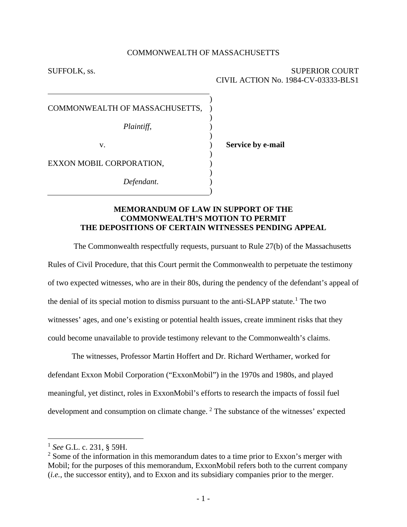### COMMONWEALTH OF MASSACHUSETTS

) ) ) ) ) ) ) ) ) ) )

### SUFFOLK, ss. SUPERIOR COURT CIVIL ACTION No. 1984-CV-03333-BLS1

COMMONWEALTH OF MASSACHUSETTS,

*Plaintiff*,

v.

**Service by e-mail**

EXXON MOBIL CORPORATION,

*Defendant*.

# **MEMORANDUM OF LAW IN SUPPORT OF THE COMMONWEALTH'S MOTION TO PERMIT THE DEPOSITIONS OF CERTAIN WITNESSES PENDING APPEAL**

The Commonwealth respectfully requests, pursuant to Rule 27(b) of the Massachusetts Rules of Civil Procedure, that this Court permit the Commonwealth to perpetuate the testimony of two expected witnesses, who are in their 80s, during the pendency of the defendant's appeal of the denial of its special motion to dismiss pursuant to the anti-SLAPP statute.<sup>[1](#page-0-0)</sup> The two witnesses' ages, and one's existing or potential health issues, create imminent risks that they could become unavailable to provide testimony relevant to the Commonwealth's claims.

The witnesses, Professor Martin Hoffert and Dr. Richard Werthamer, worked for defendant Exxon Mobil Corporation ("ExxonMobil") in the 1970s and 1980s, and played meaningful, yet distinct, roles in ExxonMobil's efforts to research the impacts of fossil fuel development and consumption on climate change.  $2$  The substance of the witnesses' expected

<span id="page-0-0"></span><sup>1</sup> *See* G.L. c. 231, § 59H.

<span id="page-0-1"></span> $2$  Some of the information in this memorandum dates to a time prior to Exxon's merger with Mobil; for the purposes of this memorandum, ExxonMobil refers both to the current company (*i.e.*, the successor entity), and to Exxon and its subsidiary companies prior to the merger.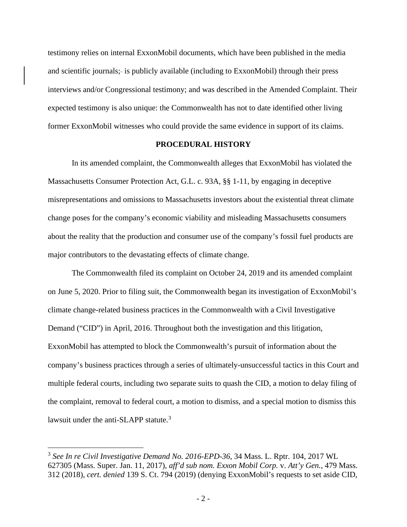testimony relies on internal ExxonMobil documents, which have been published in the media and scientific journals; is publicly available (including to ExxonMobil) through their press interviews and/or Congressional testimony; and was described in the Amended Complaint. Their expected testimony is also unique: the Commonwealth has not to date identified other living former ExxonMobil witnesses who could provide the same evidence in support of its claims.

### **PROCEDURAL HISTORY**

In its amended complaint, the Commonwealth alleges that ExxonMobil has violated the Massachusetts Consumer Protection Act, G.L. c. 93A, §§ 1-11, by engaging in deceptive misrepresentations and omissions to Massachusetts investors about the existential threat climate change poses for the company's economic viability and misleading Massachusetts consumers about the reality that the production and consumer use of the company's fossil fuel products are major contributors to the devastating effects of climate change.

The Commonwealth filed its complaint on October 24, 2019 and its amended complaint on June 5, 2020. Prior to filing suit, the Commonwealth began its investigation of ExxonMobil's climate change-related business practices in the Commonwealth with a Civil Investigative Demand ("CID") in April, 2016. Throughout both the investigation and this litigation, ExxonMobil has attempted to block the Commonwealth's pursuit of information about the company's business practices through a series of ultimately-unsuccessful tactics in this Court and multiple federal courts, including two separate suits to quash the CID, a motion to delay filing of the complaint, removal to federal court, a motion to dismiss, and a special motion to dismiss this lawsuit under the anti- $SLAPP$  statute.<sup>[3](#page-1-0)</sup>

<span id="page-1-0"></span><sup>3</sup> *See In re Civil Investigative Demand No. 2016-EPD-36*, 34 Mass. L. Rptr. 104, 2017 WL 627305 (Mass. Super. Jan. 11, 2017), *aff'd sub nom. Exxon Mobil Corp.* v. *Att'y Gen.*, 479 Mass. 312 (2018), *cert. denied* 139 S. Ct. 794 (2019) (denying ExxonMobil's requests to set aside CID,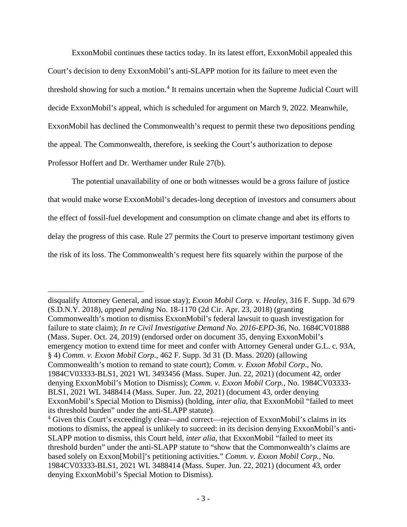ExxonMobil continues these tactics today. In its latest effort, ExxonMobil appealed this Court's decision to deny ExxonMobil's anti-SLAPP motion for its failure to meet even the threshold showing for such a motion. [4](#page-2-0) It remains uncertain when the Supreme Judicial Court will decide ExxonMobil's appeal, which is scheduled for argument on March 9, 2022. Meanwhile, ExxonMobil has declined the Commonwealth's request to permit these two depositions pending the appeal. The Commonwealth, therefore, is seeking the Court's authorization to depose Professor Hoffert and Dr. Werthamer under Rule 27(b).

The potential unavailability of one or both witnesses would be a gross failure of justice that would make worse ExxonMobil's decades-long deception of investors and consumers about the effect of fossil-fuel development and consumption on climate change and abet its efforts to delay the progress of this case. Rule 27 permits the Court to preserve important testimony given the risk of its loss. The Commonwealth's request here fits squarely within the purpose of the

disqualify Attorney General, and issue stay); *Exxon Mobil Corp. v. Healey*, 316 F. Supp. 3d 679 (S.D.N.Y. 2018), *appeal pending* No. 18-1170 (2d Cir. Apr. 23, 2018) (granting Commonwealth's motion to dismiss ExxonMobil's federal lawsuit to quash investigation for failure to state claim); *In re Civil Investigative Demand No. 2016-EPD-36*, No. 1684CV01888 (Mass. Super. Oct. 24, 2019) (endorsed order on document 35, denying ExxonMobil's emergency motion to extend time for meet and confer with Attorney General under G.L. c. 93A, § 4) *Comm. v. Exxon Mobil Corp.*, 462 F. Supp. 3d 31 (D. Mass. 2020) (allowing Commonwealth's motion to remand to state court); *Comm. v. Exxon Mobil Corp*., No. 1984CV03333-BLS1, 2021 WL 3493456 (Mass. Super. Jun. 22, 2021) (document 42, order denying ExxonMobil's Motion to Dismiss); *Comm. v. Exxon Mobil Corp.*, No. 1984CV03333- BLS1, 2021 WL 3488414 (Mass. Super. Jun. 22, 2021) (document 43, order denying ExxonMobil's Special Motion to Dismiss) (holding, *inter alia*, that ExxonMobil "failed to meet its threshold burden" under the anti-SLAPP statute).

<span id="page-2-0"></span><sup>4</sup> Given this Court's exceedingly clear—and correct—rejection of ExxonMobil's claims in its motions to dismiss, the appeal is unlikely to succeed: in its decision denying ExxonMobil's anti-SLAPP motion to dismiss, this Court held, *inter alia*, that ExxonMobil "failed to meet its threshold burden" under the anti-SLAPP statute to "show that the Commonwealth's claims are based solely on Exxon[Mobil]'s petitioning activities." *Comm. v. Exxon Mobil Corp.*, No. 1984CV03333-BLS1, 2021 WL 3488414 (Mass. Super. Jun. 22, 2021) (document 43, order denying ExxonMobil's Special Motion to Dismiss).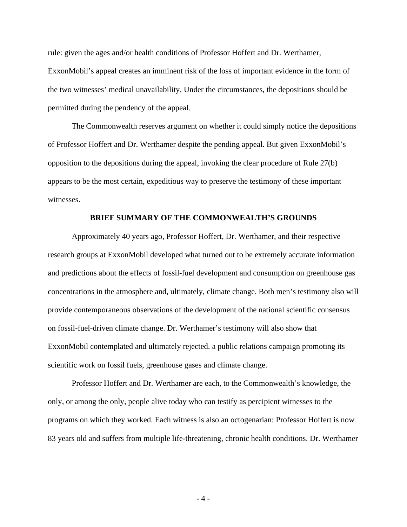rule: given the ages and/or health conditions of Professor Hoffert and Dr. Werthamer, ExxonMobil's appeal creates an imminent risk of the loss of important evidence in the form of the two witnesses' medical unavailability. Under the circumstances, the depositions should be permitted during the pendency of the appeal.

The Commonwealth reserves argument on whether it could simply notice the depositions of Professor Hoffert and Dr. Werthamer despite the pending appeal. But given ExxonMobil's opposition to the depositions during the appeal, invoking the clear procedure of Rule 27(b) appears to be the most certain, expeditious way to preserve the testimony of these important witnesses.

#### **BRIEF SUMMARY OF THE COMMONWEALTH'S GROUNDS**

Approximately 40 years ago, Professor Hoffert, Dr. Werthamer, and their respective research groups at ExxonMobil developed what turned out to be extremely accurate information and predictions about the effects of fossil-fuel development and consumption on greenhouse gas concentrations in the atmosphere and, ultimately, climate change. Both men's testimony also will provide contemporaneous observations of the development of the national scientific consensus on fossil-fuel-driven climate change. Dr. Werthamer's testimony will also show that ExxonMobil contemplated and ultimately rejected. a public relations campaign promoting its scientific work on fossil fuels, greenhouse gases and climate change.

Professor Hoffert and Dr. Werthamer are each, to the Commonwealth's knowledge, the only, or among the only, people alive today who can testify as percipient witnesses to the programs on which they worked. Each witness is also an octogenarian: Professor Hoffert is now 83 years old and suffers from multiple life-threatening, chronic health conditions. Dr. Werthamer

- 4 -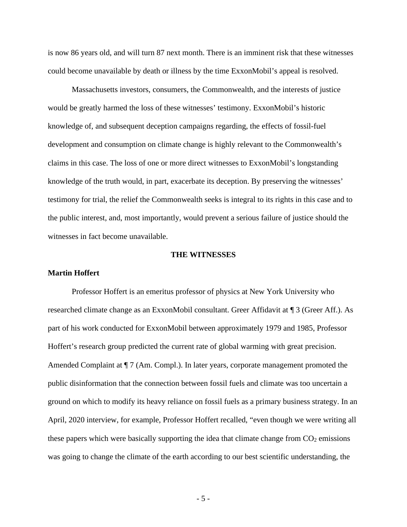is now 86 years old, and will turn 87 next month. There is an imminent risk that these witnesses could become unavailable by death or illness by the time ExxonMobil's appeal is resolved.

Massachusetts investors, consumers, the Commonwealth, and the interests of justice would be greatly harmed the loss of these witnesses' testimony. ExxonMobil's historic knowledge of, and subsequent deception campaigns regarding, the effects of fossil-fuel development and consumption on climate change is highly relevant to the Commonwealth's claims in this case. The loss of one or more direct witnesses to ExxonMobil's longstanding knowledge of the truth would, in part, exacerbate its deception. By preserving the witnesses' testimony for trial, the relief the Commonwealth seeks is integral to its rights in this case and to the public interest, and, most importantly, would prevent a serious failure of justice should the witnesses in fact become unavailable.

#### **THE WITNESSES**

#### **Martin Hoffert**

Professor Hoffert is an emeritus professor of physics at New York University who researched climate change as an ExxonMobil consultant. Greer Affidavit at ¶ 3 (Greer Aff.). As part of his work conducted for ExxonMobil between approximately 1979 and 1985, Professor Hoffert's research group predicted the current rate of global warming with great precision. Amended Complaint at  $\P$  7 (Am. Compl.). In later years, corporate management promoted the public disinformation that the connection between fossil fuels and climate was too uncertain a ground on which to modify its heavy reliance on fossil fuels as a primary business strategy. In an April, 2020 interview, for example, Professor Hoffert recalled, "even though we were writing all these papers which were basically supporting the idea that climate change from  $CO<sub>2</sub>$  emissions was going to change the climate of the earth according to our best scientific understanding, the

- 5 -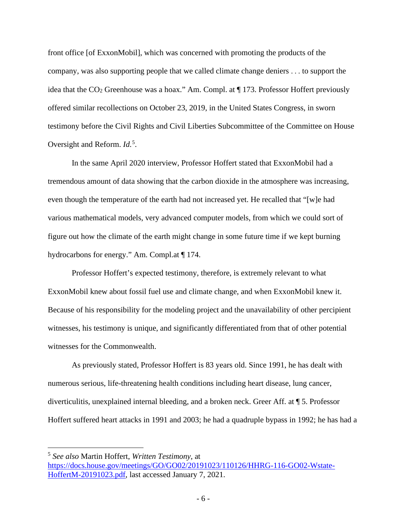front office [of ExxonMobil], which was concerned with promoting the products of the company, was also supporting people that we called climate change deniers . . . to support the idea that the  $CO<sub>2</sub>$  Greenhouse was a hoax." Am. Compl. at  $\P$  173. Professor Hoffert previously offered similar recollections on October 23, 2019, in the United States Congress, in sworn testimony before the Civil Rights and Civil Liberties Subcommittee of the Committee on House Oversight and Reform. *Id.*<sup>[5](#page-5-0)</sup>.

In the same April 2020 interview, Professor Hoffert stated that ExxonMobil had a tremendous amount of data showing that the carbon dioxide in the atmosphere was increasing, even though the temperature of the earth had not increased yet. He recalled that "[w]e had various mathematical models, very advanced computer models, from which we could sort of figure out how the climate of the earth might change in some future time if we kept burning hydrocarbons for energy." Am. Compl.at ¶ 174.

Professor Hoffert's expected testimony, therefore, is extremely relevant to what ExxonMobil knew about fossil fuel use and climate change, and when ExxonMobil knew it. Because of his responsibility for the modeling project and the unavailability of other percipient witnesses, his testimony is unique, and significantly differentiated from that of other potential witnesses for the Commonwealth.

As previously stated, Professor Hoffert is 83 years old. Since 1991, he has dealt with numerous serious, life-threatening health conditions including heart disease, lung cancer, diverticulitis, unexplained internal bleeding, and a broken neck. Greer Aff. at ¶ 5. Professor Hoffert suffered heart attacks in 1991 and 2003; he had a quadruple bypass in 1992; he has had a

<span id="page-5-0"></span><sup>5</sup> *See also* Martin Hoffert, *Written Testimony*, at [https://docs.house.gov/meetings/GO/GO02/20191023/110126/HHRG-116-GO02-Wstate-](https://docs.house.gov/meetings/GO/GO02/20191023/110126/HHRG-116-GO02-Wstate-HoffertM-20191023.pdf)[HoffertM-20191023.pdf,](https://docs.house.gov/meetings/GO/GO02/20191023/110126/HHRG-116-GO02-Wstate-HoffertM-20191023.pdf) last accessed January 7, 2021.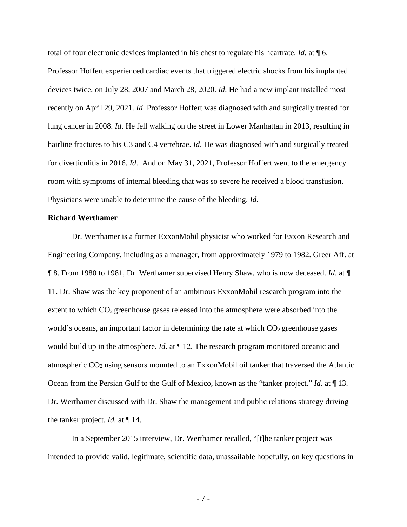total of four electronic devices implanted in his chest to regulate his heartrate. *Id*. at ¶ 6. Professor Hoffert experienced cardiac events that triggered electric shocks from his implanted devices twice, on July 28, 2007 and March 28, 2020. *Id*. He had a new implant installed most recently on April 29, 2021. *Id*. Professor Hoffert was diagnosed with and surgically treated for lung cancer in 2008. *Id*. He fell walking on the street in Lower Manhattan in 2013, resulting in hairline fractures to his C3 and C4 vertebrae. *Id*. He was diagnosed with and surgically treated for diverticulitis in 2016. *Id*. And on May 31, 2021, Professor Hoffert went to the emergency room with symptoms of internal bleeding that was so severe he received a blood transfusion. Physicians were unable to determine the cause of the bleeding. *Id*.

#### **Richard Werthamer**

Dr. Werthamer is a former ExxonMobil physicist who worked for Exxon Research and Engineering Company, including as a manager, from approximately 1979 to 1982. Greer Aff. at ¶ 8. From 1980 to 1981, Dr. Werthamer supervised Henry Shaw, who is now deceased. *Id*. at ¶ 11. Dr. Shaw was the key proponent of an ambitious ExxonMobil research program into the extent to which  $CO<sub>2</sub>$  greenhouse gases released into the atmosphere were absorbed into the world's oceans, an important factor in determining the rate at which  $CO<sub>2</sub>$  greenhouse gases would build up in the atmosphere. *Id*. at ¶ 12. The research program monitored oceanic and atmospheric CO2 using sensors mounted to an ExxonMobil oil tanker that traversed the Atlantic Ocean from the Persian Gulf to the Gulf of Mexico, known as the "tanker project." *Id*. at ¶ 13. Dr. Werthamer discussed with Dr. Shaw the management and public relations strategy driving the tanker project. *Id.* at ¶ 14.

In a September 2015 interview, Dr. Werthamer recalled, "[t]he tanker project was intended to provide valid, legitimate, scientific data, unassailable hopefully, on key questions in

- 7 -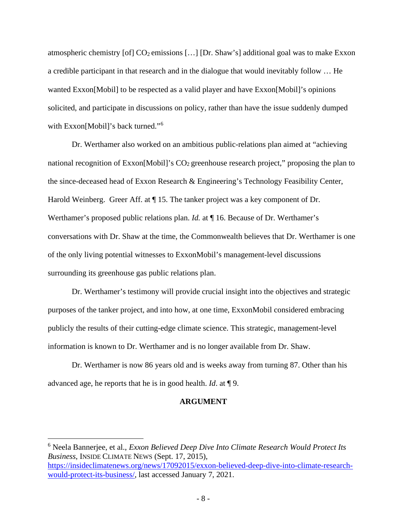atmospheric chemistry [of]  $CO_2$  emissions [...] [Dr. Shaw's] additional goal was to make Exxon a credible participant in that research and in the dialogue that would inevitably follow … He wanted Exxon[Mobil] to be respected as a valid player and have Exxon[Mobil]'s opinions solicited, and participate in discussions on policy, rather than have the issue suddenly dumped with Exxon[Mobil]'s back turned."<sup>[6](#page-7-0)</sup>

Dr. Werthamer also worked on an ambitious public-relations plan aimed at "achieving national recognition of Exxon [Mobil]'s  $CO<sub>2</sub>$  greenhouse research project," proposing the plan to the since-deceased head of Exxon Research & Engineering's Technology Feasibility Center, Harold Weinberg. Greer Aff. at  $\P$  15. The tanker project was a key component of Dr. Werthamer's proposed public relations plan. *Id.* at  $\P$  16. Because of Dr. Werthamer's conversations with Dr. Shaw at the time, the Commonwealth believes that Dr. Werthamer is one of the only living potential witnesses to ExxonMobil's management-level discussions surrounding its greenhouse gas public relations plan.

Dr. Werthamer's testimony will provide crucial insight into the objectives and strategic purposes of the tanker project, and into how, at one time, ExxonMobil considered embracing publicly the results of their cutting-edge climate science. This strategic, management-level information is known to Dr. Werthamer and is no longer available from Dr. Shaw.

Dr. Werthamer is now 86 years old and is weeks away from turning 87. Other than his advanced age, he reports that he is in good health. *Id*. at ¶ 9.

### **ARGUMENT**

<span id="page-7-0"></span><sup>6</sup> Neela Bannerjee, et al., *Exxon Believed Deep Dive Into Climate Research Would Protect Its Business*, INSIDE CLIMATE NEWS (Sept. 17, 2015), [https://insideclimatenews.org/news/17092015/exxon-believed-deep-dive-into-climate-research](https://insideclimatenews.org/news/17092015/exxon-believed-deep-dive-into-climate-research-would-protect-its-business/)[would-protect-its-business/,](https://insideclimatenews.org/news/17092015/exxon-believed-deep-dive-into-climate-research-would-protect-its-business/) last accessed January 7, 2021.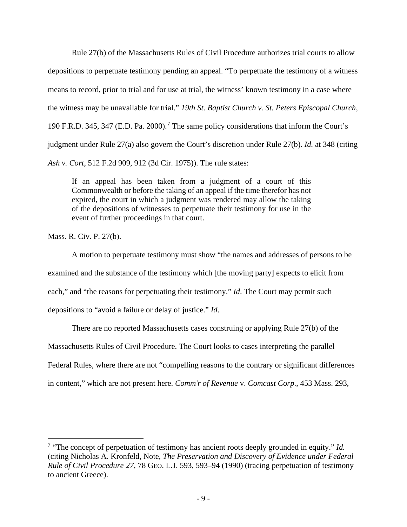Rule 27(b) of the Massachusetts Rules of Civil Procedure authorizes trial courts to allow depositions to perpetuate testimony pending an appeal. "To perpetuate the testimony of a witness means to record, prior to trial and for use at trial, the witness' known testimony in a case where the witness may be unavailable for trial." *19th St. Baptist Church v. St. Peters Episcopal Church*, 190 F.R.D. 345, 34[7](#page-8-0) (E.D. Pa. 2000).<sup>7</sup> The same policy considerations that inform the Court's judgment under Rule 27(a) also govern the Court's discretion under Rule 27(b). *Id.* at 348 (citing *Ash v. Cort*, 512 F.2d 909, 912 (3d Cir. 1975)). The rule states:

If an appeal has been taken from a judgment of a court of this Commonwealth or before the taking of an appeal if the time therefor has not expired, the court in which a judgment was rendered may allow the taking of the depositions of witnesses to perpetuate their testimony for use in the event of further proceedings in that court.

Mass. R. Civ. P. 27(b).

A motion to perpetuate testimony must show "the names and addresses of persons to be examined and the substance of the testimony which [the moving party] expects to elicit from each," and "the reasons for perpetuating their testimony." *Id*. The Court may permit such depositions to "avoid a failure or delay of justice." *Id*.

There are no reported Massachusetts cases construing or applying Rule 27(b) of the Massachusetts Rules of Civil Procedure. The Court looks to cases interpreting the parallel Federal Rules, where there are not "compelling reasons to the contrary or significant differences in content," which are not present here. *Comm'r of Revenue* v. *Comcast Corp*., 453 Mass. 293,

<span id="page-8-0"></span><sup>7</sup> "The concept of perpetuation of testimony has ancient roots deeply grounded in equity." *Id.* (citing Nicholas A. Kronfeld, Note, *The Preservation and Discovery of Evidence under Federal Rule of Civil Procedure 27*, 78 GEO. L.J. 593, 593–94 (1990) (tracing perpetuation of testimony to ancient Greece).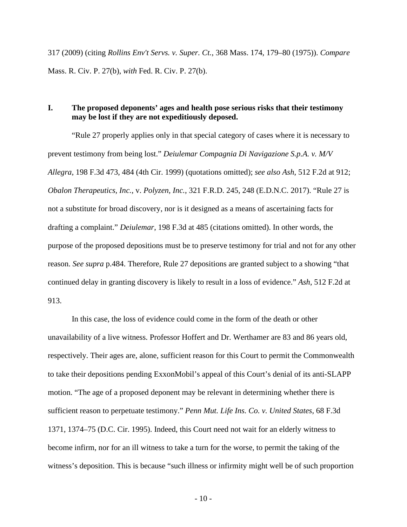317 (2009) (citing *Rollins Env't Servs. v. Super. Ct.*, 368 Mass. 174, 179–80 (1975)). *Compare*  Mass. R. Civ. P. 27(b), *with* Fed. R. Civ. P. 27(b).

## **I. The proposed deponents' ages and health pose serious risks that their testimony may be lost if they are not expeditiously deposed.**

"Rule 27 properly applies only in that special category of cases where it is necessary to prevent testimony from being lost." *Deiulemar Compagnia Di Navigazione S.p.A. v. M/V Allegra*, 198 F.3d 473, 484 (4th Cir. 1999) (quotations omitted); *see also Ash*, 512 F.2d at 912; *Obalon Therapeutics, Inc.*, v. *Polyzen, Inc.*, 321 F.R.D. 245, 248 (E.D.N.C. 2017). "Rule 27 is not a substitute for broad discovery, nor is it designed as a means of ascertaining facts for drafting a complaint." *Deiulemar*, 198 F.3d at 485 (citations omitted). In other words, the purpose of the proposed depositions must be to preserve testimony for trial and not for any other reason. *See supra* p.484. Therefore, Rule 27 depositions are granted subject to a showing "that continued delay in granting discovery is likely to result in a loss of evidence." *Ash*, 512 F.2d at 913.

In this case, the loss of evidence could come in the form of the death or other unavailability of a live witness. Professor Hoffert and Dr. Werthamer are 83 and 86 years old, respectively. Their ages are, alone, sufficient reason for this Court to permit the Commonwealth to take their depositions pending ExxonMobil's appeal of this Court's denial of its anti-SLAPP motion. "The age of a proposed deponent may be relevant in determining whether there is sufficient reason to perpetuate testimony." *Penn Mut. Life Ins. Co. v. United States*, 68 F.3d 1371, 1374–75 (D.C. Cir. 1995). Indeed, this Court need not wait for an elderly witness to become infirm, nor for an ill witness to take a turn for the worse, to permit the taking of the witness's deposition. This is because "such illness or infirmity might well be of such proportion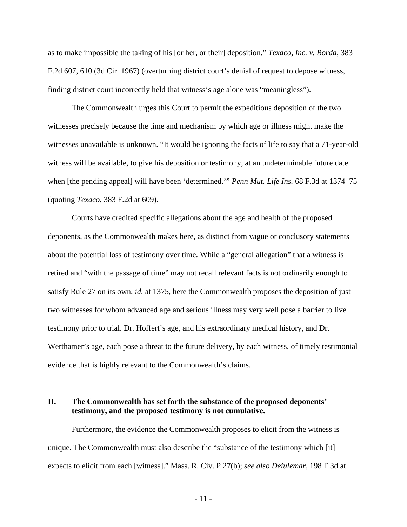as to make impossible the taking of his [or her, or their] deposition." *Texaco, Inc. v. Borda*, 383 F.2d 607, 610 (3d Cir. 1967) (overturning district court's denial of request to depose witness, finding district court incorrectly held that witness's age alone was "meaningless").

The Commonwealth urges this Court to permit the expeditious deposition of the two witnesses precisely because the time and mechanism by which age or illness might make the witnesses unavailable is unknown. "It would be ignoring the facts of life to say that a 71-year-old witness will be available, to give his deposition or testimony, at an undeterminable future date when [the pending appeal] will have been 'determined.'" *Penn Mut. Life Ins.* 68 F.3d at 1374–75 (quoting *Texaco*, 383 F.2d at 609).

Courts have credited specific allegations about the age and health of the proposed deponents, as the Commonwealth makes here, as distinct from vague or conclusory statements about the potential loss of testimony over time. While a "general allegation" that a witness is retired and "with the passage of time" may not recall relevant facts is not ordinarily enough to satisfy Rule 27 on its own, *id.* at 1375, here the Commonwealth proposes the deposition of just two witnesses for whom advanced age and serious illness may very well pose a barrier to live testimony prior to trial. Dr. Hoffert's age, and his extraordinary medical history, and Dr. Werthamer's age, each pose a threat to the future delivery, by each witness, of timely testimonial evidence that is highly relevant to the Commonwealth's claims.

### **II. The Commonwealth has set forth the substance of the proposed deponents' testimony, and the proposed testimony is not cumulative.**

Furthermore, the evidence the Commonwealth proposes to elicit from the witness is unique. The Commonwealth must also describe the "substance of the testimony which [it] expects to elicit from each [witness]." Mass. R. Civ. P 27(b); *see also Deiulemar*, 198 F.3d at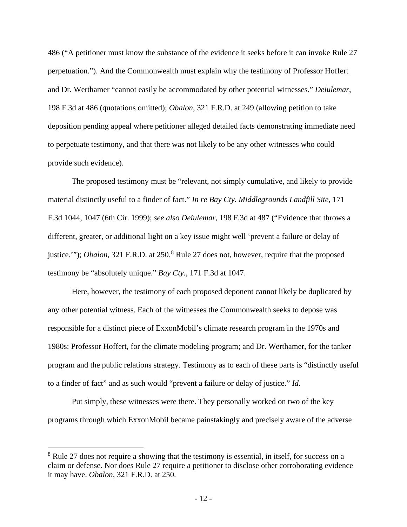486 ("A petitioner must know the substance of the evidence it seeks before it can invoke Rule 27 perpetuation."). And the Commonwealth must explain why the testimony of Professor Hoffert and Dr. Werthamer "cannot easily be accommodated by other potential witnesses." *Deiulemar*, 198 F.3d at 486 (quotations omitted); *Obalon*, 321 F.R.D. at 249 (allowing petition to take deposition pending appeal where petitioner alleged detailed facts demonstrating immediate need to perpetuate testimony, and that there was not likely to be any other witnesses who could provide such evidence).

The proposed testimony must be "relevant, not simply cumulative, and likely to provide material distinctly useful to a finder of fact." *In re Bay Cty. Middlegrounds Landfill Site*, 171 F.3d 1044, 1047 (6th Cir. 1999); *see also Deiulemar*, 198 F.3d at 487 ("Evidence that throws a different, greater, or additional light on a key issue might well 'prevent a failure or delay of justice.""); *Obalon*, 321 F.R.D. at 250.<sup>[8](#page-11-0)</sup> Rule 27 does not, however, require that the proposed testimony be "absolutely unique." *Bay Cty.*, 171 F.3d at 1047.

Here, however, the testimony of each proposed deponent cannot likely be duplicated by any other potential witness. Each of the witnesses the Commonwealth seeks to depose was responsible for a distinct piece of ExxonMobil's climate research program in the 1970s and 1980s: Professor Hoffert, for the climate modeling program; and Dr. Werthamer, for the tanker program and the public relations strategy. Testimony as to each of these parts is "distinctly useful to a finder of fact" and as such would "prevent a failure or delay of justice." *Id*.

Put simply, these witnesses were there. They personally worked on two of the key programs through which ExxonMobil became painstakingly and precisely aware of the adverse

<span id="page-11-0"></span><sup>&</sup>lt;sup>8</sup> Rule 27 does not require a showing that the testimony is essential, in itself, for success on a claim or defense. Nor does Rule 27 require a petitioner to disclose other corroborating evidence it may have. *Obalon*, 321 F.R.D. at 250.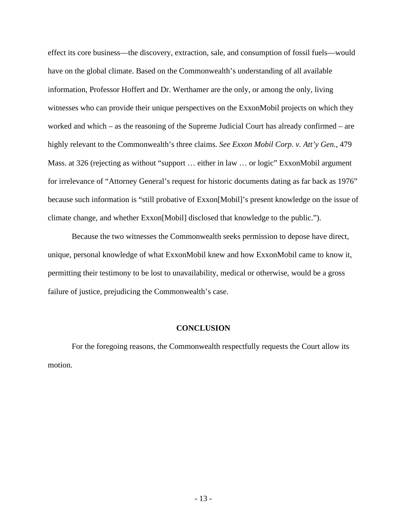effect its core business—the discovery, extraction, sale, and consumption of fossil fuels—would have on the global climate. Based on the Commonwealth's understanding of all available information, Professor Hoffert and Dr. Werthamer are the only, or among the only, living witnesses who can provide their unique perspectives on the ExxonMobil projects on which they worked and which – as the reasoning of the Supreme Judicial Court has already confirmed – are highly relevant to the Commonwealth's three claims. *See Exxon Mobil Corp. v. Att'y Gen.*, 479 Mass. at 326 (rejecting as without "support … either in law … or logic" ExxonMobil argument for irrelevance of "Attorney General's request for historic documents dating as far back as 1976" because such information is "still probative of Exxon[Mobil]'s present knowledge on the issue of climate change, and whether Exxon[Mobil] disclosed that knowledge to the public.").

Because the two witnesses the Commonwealth seeks permission to depose have direct, unique, personal knowledge of what ExxonMobil knew and how ExxonMobil came to know it, permitting their testimony to be lost to unavailability, medical or otherwise, would be a gross failure of justice, prejudicing the Commonwealth's case.

#### **CONCLUSION**

For the foregoing reasons, the Commonwealth respectfully requests the Court allow its motion.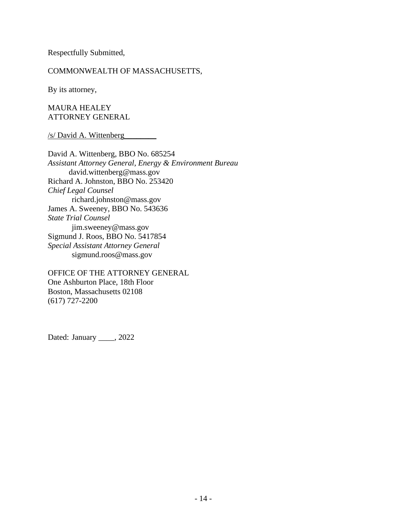Respectfully Submitted,

## COMMONWEALTH OF MASSACHUSETTS,

By its attorney,

MAURA HEALEY ATTORNEY GENERAL

### /s/ David A. Wittenberg\_\_\_\_\_\_\_\_

David A. Wittenberg, BBO No. 685254 *Assistant Attorney General, Energy & Environment Bureau* david.wittenberg@mass.gov Richard A. Johnston, BBO No. 253420 *Chief Legal Counsel* richard.johnston@mass.gov James A. Sweeney, BBO No. 543636 *State Trial Counsel* jim.sweeney@mass.gov Sigmund J. Roos, BBO No. 5417854 *Special Assistant Attorney General* sigmund.roos@mass.gov

OFFICE OF THE ATTORNEY GENERAL One Ashburton Place, 18th Floor Boston, Massachusetts 02108 (617) 727-2200

Dated: January \_\_\_\_, 2022